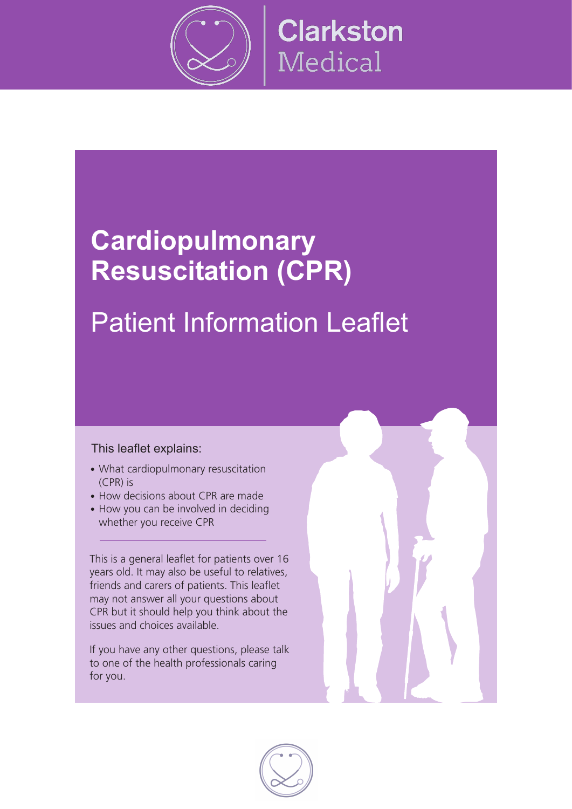

# **Cardiopulmonary Resuscitation (CPR)**

# Patient Information Leaflet

#### This leaflet explains:

- What cardiopulmonary resuscitation  $(CPR)$  is
- How decisions about CPR are made
- How you can be involved in deciding whether you receive CPR

This is a general leaflet for patients over 16 years old. It may also be useful to relatives, friends and carers of patients. This leaflet may not answer all your questions about CPR but it should help you think about the issues and choices available. 

If you have any other questions, please talk to one of the health professionals caring for you.

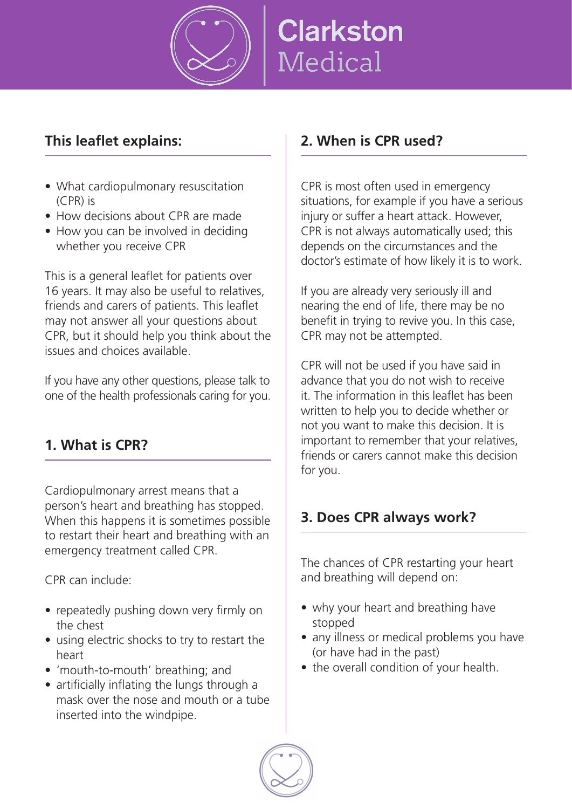

#### **This leaflet explains:**

- What cardiopulmonary resuscitation (CPR) is
- How decisions about CPR are made
- How you can be involved in deciding whether you receive CPR

This is a general leaflet for patients over 16 years. It may also be useful to relatives, friends and carers of patients. This leaflet may not answer all your questions about CPR, but it should help you think about the issues and choices available.

If you have any other questions, please talk to one of the health professionals caring for you.

#### **1. What is CPR?**

Cardiopulmonary arrest means that a person's heart and breathing has stopped. When this happens it is sometimes possible to restart their heart and breathing with an emergency treatment called CPR.

CPR can include:

- repeatedly pushing down very firmly on the chest
- using electric shocks to try to restart the heart
- 'mouth-to-mouth' breathing; and
- $\bullet$  artificially inflating the lungs through a mask over the nose and mouth or a tube inserted into the windpipe.

#### **2. When is CPR used?**

CPR is most often used in emergency situations, for example if you have a serious injury or suffer a heart attack. However, CPR is not always automatically used; this depends on the circumstances and the doctor's estimate of how likely it is to work.

If you are already very seriously ill and nearing the end of life, there may be no benefit in trying to revive you. In this case, CPR may not be attempted.

CPR will not be used if you have said in advance that you do not wish to receive it. The information in this leaflet has been written to help you to decide whether or not you want to make this decision. It is important to remember that your relatives, friends or carers cannot make this decision for you.

#### **3. Does CPR always work?**

The chances of CPR restarting your heart and breathing will depend on:

- why your heart and breathing have stopped
- any illness or medical problems you have (or have had in the past)
- the overall condition of your health.

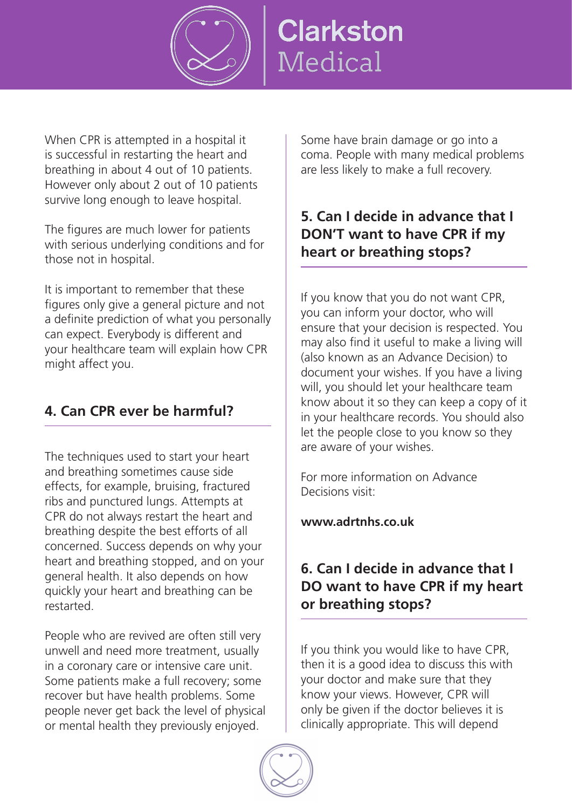

When CPR is attempted in a hospital it is successful in restarting the heart and breathing in about 4 out of 10 patients. However only about 2 out of 10 patients survive long enough to leave hospital.

The figures are much lower for patients with serious underlying conditions and for those not in hospital.

It is important to remember that these figures only give a general picture and not a definite prediction of what you personally can expect. Everybody is different and your healthcare team will explain how CPR might affect you.

## **4. Can CPR ever be harmful?**

The techniques used to start your heart and breathing sometimes cause side effects, for example, bruising, fractured ribs and punctured lungs. Attempts at CPR do not always restart the heart and breathing despite the best efforts of all concerned. Success depends on why your heart and breathing stopped, and on your general health. It also depends on how quickly your heart and breathing can be restarted.

People who are revived are often still very unwell and need more treatment, usually in a coronary care or intensive care unit. Some patients make a full recovery; some recover but have health problems. Some people never get back the level of physical or mental health they previously enjoyed.

Some have brain damage or go into a coma. People with many medical problems are less likely to make a full recovery.

#### **5. Can I decide in advance that I DON'T want to have CPR if my heart or breathing stops?**

If you know that you do not want CPR, you can inform your doctor, who will ensure that your decision is respected. You may also find it useful to make a living will (also known as an Advance Decision) to document your wishes. If you have a living will, you should let your healthcare team know about it so they can keep a copy of it in your healthcare records. You should also let the people close to you know so they are aware of your wishes.

For more information on Advance Decisions visit:

**www.adrtnhs.co.uk**

### **6. Can I decide in advance that I DO want to have CPR if my heart or breathing stops?**

If you think you would like to have CPR, then it is a good idea to discuss this with your doctor and make sure that they know your views. However, CPR will only be given if the doctor believes it is clinically appropriate. This will depend

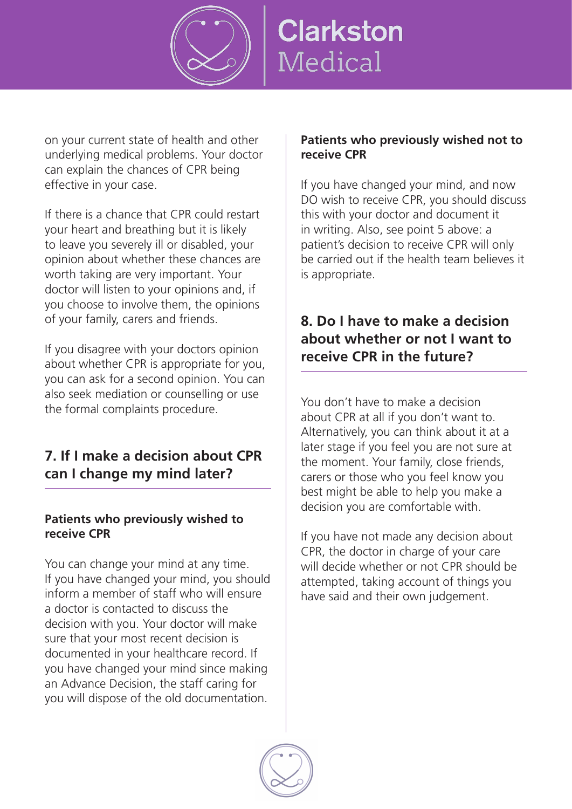

on your current state of health and other underlying medical problems. Your doctor can explain the chances of CPR being effective in your case.

If there is a chance that CPR could restart your heart and breathing but it is likely to leave you severely ill or disabled, your opinion about whether these chances are worth taking are very important. Your doctor will listen to your opinions and, if you choose to involve them, the opinions of your family, carers and friends.

If you disagree with your doctors opinion about whether CPR is appropriate for you, you can ask for a second opinion. You can also seek mediation or counselling or use the formal complaints procedure.

### **7. If I make a decision about CPR can I change my mind later?**

#### **Patients who previously wished to receive CPR**

You can change your mind at any time. If you have changed your mind, you should inform a member of staff who will ensure a doctor is contacted to discuss the decision with you. Your doctor will make sure that your most recent decision is documented in your healthcare record. If you have changed your mind since making an Advance Decision, the staff caring for you will dispose of the old documentation.

#### **Patients who previously wished not to receive CPR**

If you have changed your mind, and now DO wish to receive CPR, you should discuss this with your doctor and document it in writing. Also, see point 5 above: a patient's decision to receive CPR will only be carried out if the health team believes it is appropriate.

### **8. Do I have to make a decision about whether or not I want to receive CPR in the future?**

You don't have to make a decision about CPR at all if you don't want to. Alternatively, you can think about it at a later stage if you feel you are not sure at the moment. Your family, close friends, carers or those who you feel know you best might be able to help you make a decision you are comfortable with.

If you have not made any decision about CPR, the doctor in charge of your care will decide whether or not CPR should be attempted, taking account of things you have said and their own judgement.